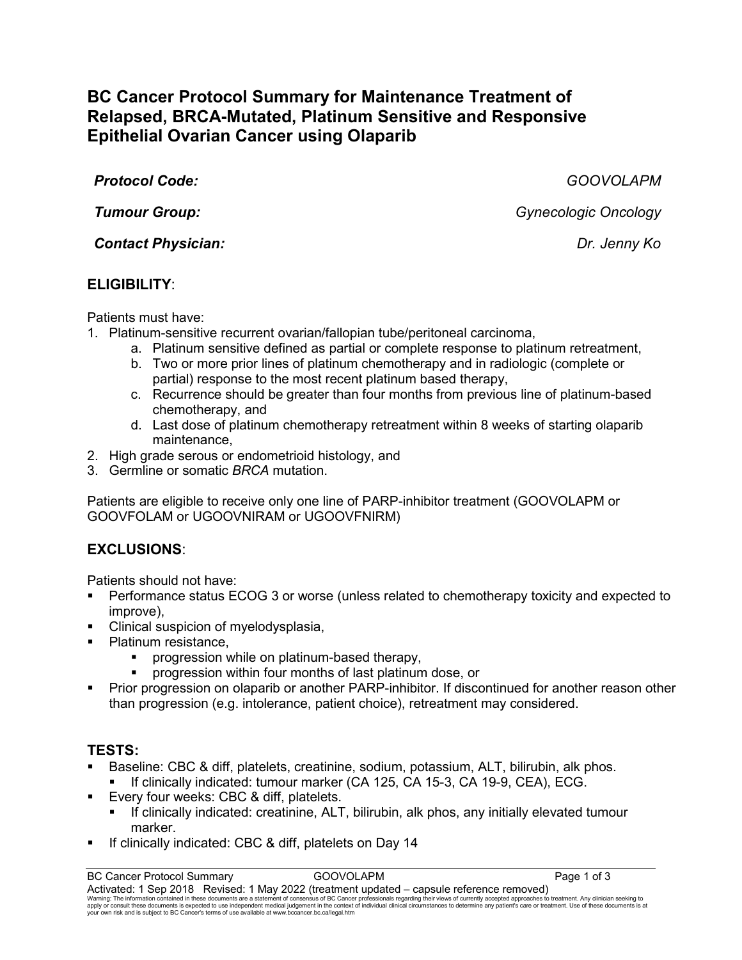# **BC Cancer Protocol Summary for Maintenance Treatment of Relapsed, BRCA-Mutated, Platinum Sensitive and Responsive Epithelial Ovarian Cancer using Olaparib**

*Protocol Code: GOOVOLAPM*

*Contact Physician: Dr. Jenny Ko*

## **ELIGIBILITY**:

Patients must have:

- 1. Platinum-sensitive recurrent ovarian/fallopian tube/peritoneal carcinoma,
	- a. Platinum sensitive defined as partial or complete response to platinum retreatment,
		- b. Two or more prior lines of platinum chemotherapy and in radiologic (complete or partial) response to the most recent platinum based therapy,
	- c. Recurrence should be greater than four months from previous line of platinum-based chemotherapy, and
	- d. Last dose of platinum chemotherapy retreatment within 8 weeks of starting olaparib maintenance,
- 2. High grade serous or endometrioid histology, and
- 3. Germline or somatic *BRCA* mutation.

Patients are eligible to receive only one line of PARP-inhibitor treatment (GOOVOLAPM or GOOVFOLAM or UGOOVNIRAM or UGOOVFNIRM)

## **EXCLUSIONS**:

Patients should not have:

- Performance status ECOG 3 or worse (unless related to chemotherapy toxicity and expected to improve),
- Clinical suspicion of myelodysplasia,
- Platinum resistance,
	- progression while on platinum-based therapy,
	- progression within four months of last platinum dose, or
- Prior progression on olaparib or another PARP-inhibitor. If discontinued for another reason other than progression (e.g. intolerance, patient choice), retreatment may considered.

## **TESTS:**

- Baseline: CBC & diff, platelets, creatinine, sodium, potassium, ALT, bilirubin, alk phos. If clinically indicated: tumour marker (CA 125, CA 15-3, CA 19-9, CEA), ECG.
- **Every four weeks: CBC & diff, platelets.** 
	- If clinically indicated: creatinine, ALT, bilirubin, alk phos, any initially elevated tumour marker.
- If clinically indicated: CBC & diff, platelets on Day 14

*Tumour Group: Gynecologic Oncology*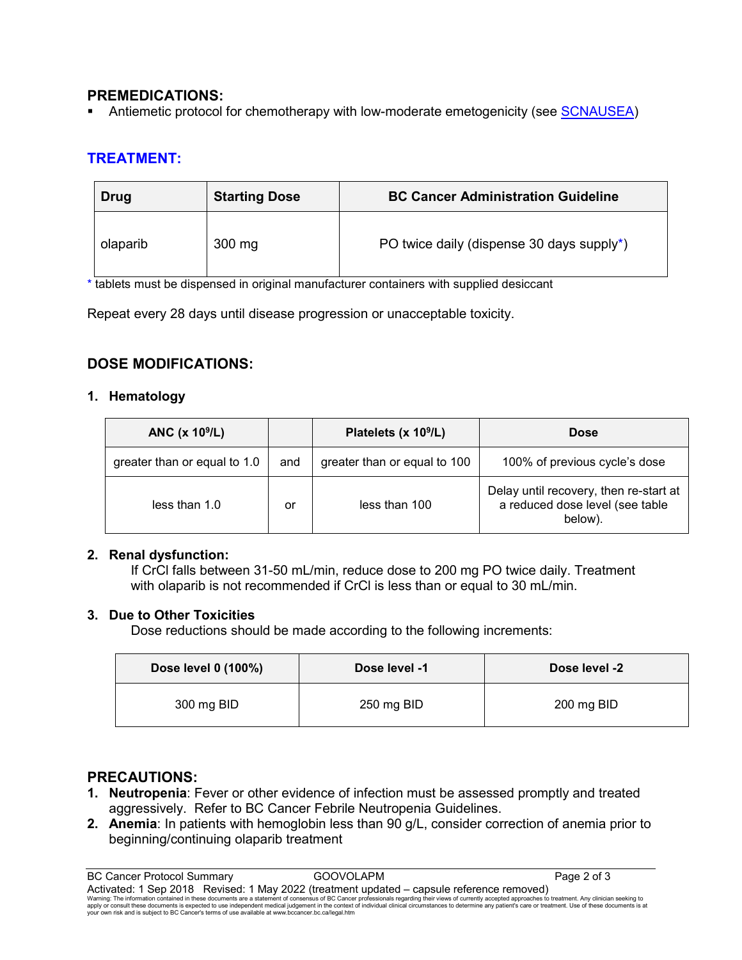## **PREMEDICATIONS:**

Antiemetic protocol for chemotherapy with low-moderate emetogenicity (see [SCNAUSEA\)](http://www.bccancer.bc.ca/NR/rdonlyres/8E898B5D-3F12-4623-8E32-5B3C429C58F7/34092/SCNAUSEA_Protocol_1May09.pdf)

## **TREATMENT:**

| Drug     | <b>Starting Dose</b> | <b>BC Cancer Administration Guideline</b>              |
|----------|----------------------|--------------------------------------------------------|
| olaparib | $300$ mg             | PO twice daily (dispense 30 days supply <sup>*</sup> ) |

\* tablets must be dispensed in original manufacturer containers with supplied desiccant

Repeat every 28 days until disease progression or unacceptable toxicity.

## **DOSE MODIFICATIONS:**

#### **1. Hematology**

| ANC $(x 109/L)$              |     | Platelets (x 10 <sup>9</sup> /L) | <b>Dose</b>                                                                          |
|------------------------------|-----|----------------------------------|--------------------------------------------------------------------------------------|
| greater than or equal to 1.0 | and | greater than or equal to 100     | 100% of previous cycle's dose                                                        |
| less than 1.0                | or  | less than 100                    | Delay until recovery, then re-start at<br>a reduced dose level (see table<br>below). |

#### **2. Renal dysfunction:**

If CrCl falls between 31-50 mL/min, reduce dose to 200 mg PO twice daily. Treatment with olaparib is not recommended if CrCl is less than or equal to 30 mL/min.

### **3. Due to Other Toxicities**

Dose reductions should be made according to the following increments:

| Dose level 0 (100%) | Dose level -1 | Dose level -2 |
|---------------------|---------------|---------------|
| 300 mg BID          | 250 mg BID    | 200 mg BID    |

### **PRECAUTIONS:**

- **1. Neutropenia**: Fever or other evidence of infection must be assessed promptly and treated aggressively. Refer to BC Cancer Febrile Neutropenia Guidelines.
- **2. Anemia**: In patients with hemoglobin less than 90 g/L, consider correction of anemia prior to beginning/continuing olaparib treatment

BC Cancer Protocol Summary **GOOVOLAPM COOVOLAPM Page 2 of 3** Activated: 1 Sep 2018 Revised: 1 May 2022 (treatment updated – capsule reference removed) Warning: The information contained in these documents are a statement of consensus of BC Cancer professionals regarding their views of currently accepted approaches to treatment. Any clinician seeking to<br>apply or consult t